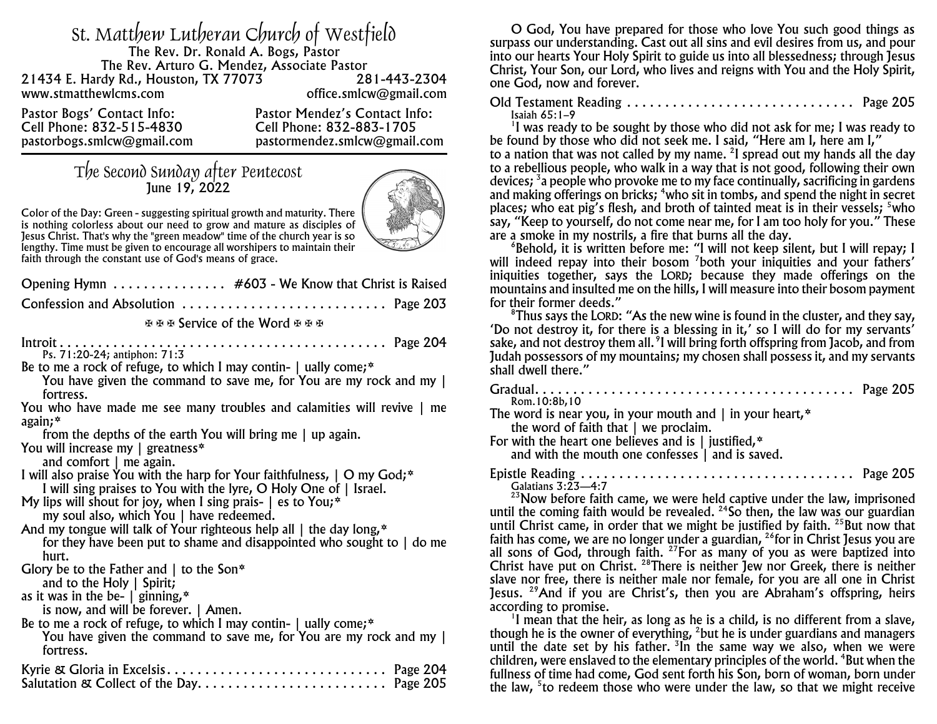| st. Matthew Lutheran Church of Westfield    |                               |
|---------------------------------------------|-------------------------------|
| The Rev. Dr. Ronald A. Bogs, Pastor         |                               |
| The Rev. Arturo G. Mendez, Associate Pastor |                               |
| 21434 E. Hardy Rd., Houston, TX 77073       | 281-443-2304                  |
| www.stmatthewlcms.com                       | office.smlcw@gmail.com        |
| Pastor Bogs' Contact Info:                  | Pastor Mendez's Contact Info: |
| Cell Phone: 832-515-4830                    | Cell Phone: 832-883-1705      |
| pastorbogs.smlcw@gmail.com                  | pastormendez.smlcw@gmail.com  |

## The Second Sunday after Pentecost June 19, 2022



*Color of the Day: Green - suggesting spiritual growth and maturity. There is nothing colorless about our need to grow and mature as disciples of Jesus Christ. That's why the "green meadow" time of the church year is so lengthy. Time must be given to encourage all worshipers to maintain their faith through the constant use of God's means of grace.*

| Opening Hymn #603 - We Know that Christ is Raised                                                                                                                                                                                                                                                                                                                                                                                                                                                                     |
|-----------------------------------------------------------------------------------------------------------------------------------------------------------------------------------------------------------------------------------------------------------------------------------------------------------------------------------------------------------------------------------------------------------------------------------------------------------------------------------------------------------------------|
| Confession and Absolution  Page 203                                                                                                                                                                                                                                                                                                                                                                                                                                                                                   |
| <b>EBE Service of the Word EBE</b>                                                                                                                                                                                                                                                                                                                                                                                                                                                                                    |
| Ps. 71:20-24; antiphon: 71:3<br>Be to me a rock of refuge, to which I may contin- $\vert$ ually come;*<br>You have given the command to save me, for You are my rock and my  <br>fortress.<br>You who have made me see many troubles and calamities will revive   me<br>$again; *$<br>from the depths of the earth You will bring me $\vert$ up again.                                                                                                                                                                |
| You will increase my $ $ greatness*<br>and comfort $ $ me again.<br>I will also praise You with the harp for Your faithfulness, $\vert$ O my God; $*$<br>I will sing praises to You with the lyre, O Holy One of   Israel.<br>My lips will shout for joy, when I sing prais- $ $ es to You;*<br>my soul also, which You   have redeemed.<br>And my tongue will talk of Your righteous help all $\parallel$ the day long, $*$<br>for they have been put to shame and disappointed who sought to $\vert$ do me<br>hurt. |
| Glory be to the Father and $\vert$ to the Son*<br>and to the Holy $\vert$ Spirit;<br>as it was in the be- $\int$ ginning, $*$<br>is now, and will be forever.   Amen.<br>Be to me a rock of refuge, to which I may contin- $\vert$ ually come; $*$<br>You have given the command to save me, for You are my rock and my  <br>fortress.                                                                                                                                                                                |
|                                                                                                                                                                                                                                                                                                                                                                                                                                                                                                                       |

O God, You have prepared for those who love You such good things as surpass our understanding. Cast out all sins and evil desires from us, and pour into our hearts Your Holy Spirit to guide us into all blessedness; through Jesus Christ, Your Son, our Lord, who lives and reigns with You and the Holy Spirit, one God, now and forever.

Old Testament Reading . . . . . . . . . . . . . . . . . . . . . . . . . . . . . . Page 205 *Isaiah 65:1–9*

<sup>1</sup>I was ready to be sought by those who did not ask for me; I was ready to be found by those who did not seek me. I said, "Here am I, here am I," to a nation that was not called by my name. 2 I spread out my hands all the day to a rebellious people, who walk in a way that is not good, following their own devices; <sup>3</sup>a people who provoke me to my face continually, sacrificing in gardens and making offerings on bricks; <sup>4</sup>who sit in tombs, and spend the night in secret places; who eat pig's flesh, and broth of tainted meat is in their vessels;  $5$  who say, "Keep to yourself, do not come near me, for I am too holy for you." These are a smoke in my nostrils, a fire that burns all the day.

6 Behold, it is written before me: "I will not keep silent, but I will repay; I will indeed repay into their bosom <sup>7</sup>both your iniquities and your fathers' iniquities together, says the LORD; because they made offerings on the mountains and insulted me on the hills, I will measure into their bosom payment for their former deeds."

<sup>8</sup>Thus says the LORD: "As the new wine is found in the cluster, and they say, 'Do not destroy it, for there is a blessing in it,' so I will do for my servants' sake, and not destroy them all. <sup>9</sup>I will bring forth offspring from Jacob, and from Judah possessors of my mountains; my chosen shall possess it, and my servants shall dwell there."

| Rom. 10:8b, 10                                                                                                   |
|------------------------------------------------------------------------------------------------------------------|
| The word is near you, in your mouth and $\mid$ in your heart,*<br>the word of faith that $\vert$ we proclaim.    |
| For with the heart one believes and is $\mid$ justified, $*$<br>and with the mouth one confesses   and is saved. |
| Galatians 3:23-4:7                                                                                               |
| <sup>23</sup> Now before faith came, we were held captive under the law, imprisoned                              |
| until the coming faith would be revealed. $24$ So then, the law was our guardian                                 |
| until Christ came, in order that we might be justified by faith. $25$ But now that                               |
| faith has come, we are no longer under a guardian, <sup>26</sup> for in Christ Jesus you are                     |
| all sons of God, through faith. <sup>27</sup> For as many of you as were baptized into                           |

Christ have put on Christ. <sup>28</sup>There is neither Jew nor Greek, there is neither slave nor free, there is neither male nor female, for you are all one in Christ Jesus. <sup>29</sup>And if you are Christ's, then you are Abraham's offspring, heirs according to promise.

<sup>1</sup>I mean that the heir, as long as he is a child, is no different from a slave, though he is the owner of everything, <sup>2</sup>but he is under guardians and managers until the date set by his father. <sup>3</sup>In the same way we also, when we were children, were enslaved to the elementary principles of the world. 4 But when the fullness of time had come, God sent forth his Son, born of woman, born under the law, <sup>s</sup>to redeem those who were under the law, so that we might receive